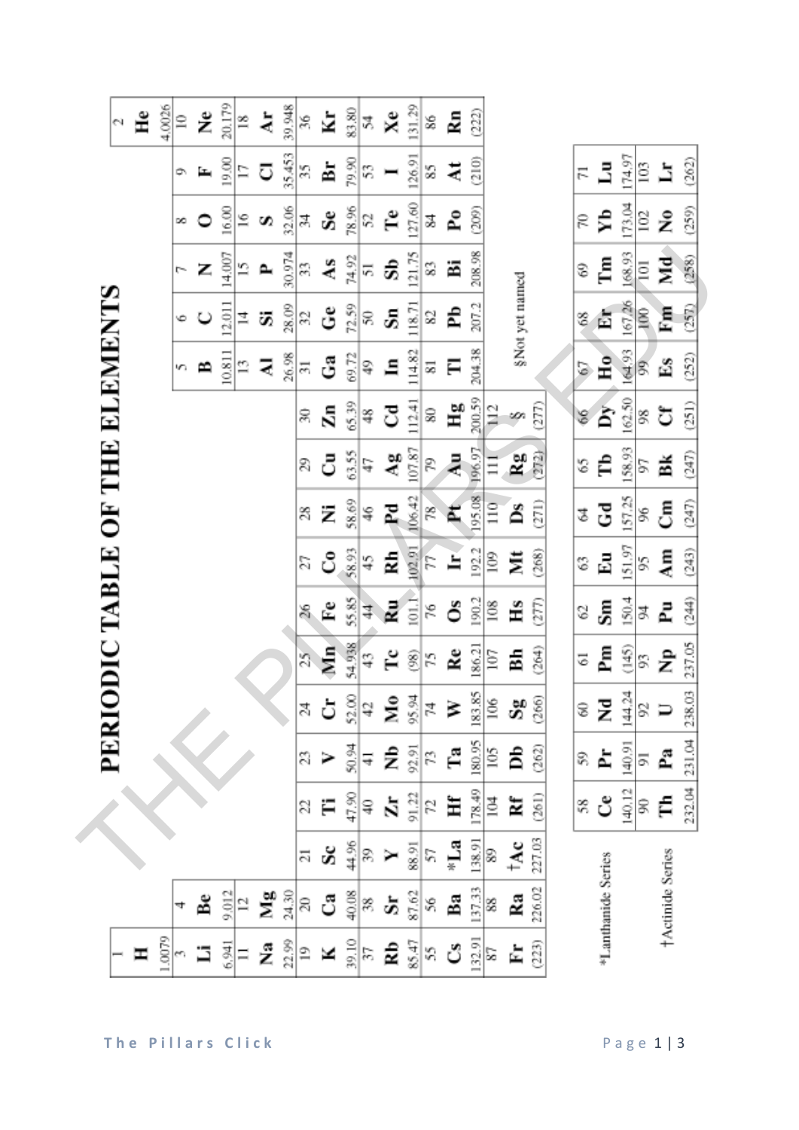|                                   | £<br>N | 4,0026 | $\cong$<br>¢<br>œ | ž<br>E, | 20.179<br>19.00<br>16.00 | ≌<br>7<br>$\tilde{e}$ | ä<br>ರ<br>S | 39,948<br>35.453<br>32.06 | 36<br>35<br>ङ्ग | Ý<br>È.<br>Š.        | 83.80<br>79.90<br>78.96 | ¥,<br>53<br>2      | Xe<br>Ĥ                                | 131.29<br>126.91<br>127.60 | 86<br>85<br>Z | Ł<br>ä<br>$\mathbf{P}_0$ | (222)<br>(210)<br>(209) |                      |                |        | 17<br>g       | $\mathbb{E}$<br>۶b      | 174.97<br>173.04 | Ξ<br>$\Xi$           | Ā<br>2           | (262)<br>(259) |
|-----------------------------------|--------|--------|-------------------|---------|--------------------------|-----------------------|-------------|---------------------------|-----------------|----------------------|-------------------------|--------------------|----------------------------------------|----------------------------|---------------|--------------------------|-------------------------|----------------------|----------------|--------|---------------|-------------------------|------------------|----------------------|------------------|----------------|
|                                   |        |        | Ļ                 | Z       | 14.007                   | 5                     | 2           | 30.974                    | 33              | As                   | 74.92                   | 5                  | ශී                                     | 121.75                     | 83            | ä                        | 208.98                  |                      |                |        | 8             | Ē                       | 168.93           | $\Xi$                | ЯÁ               | (258)          |
| <b>ODIC TABLE OF THE ELEMENTS</b> |        |        | ¢                 | ပ       | 12.011                   | 그                     | ö,          | 28.09                     | 32              | ڻ                    | 72.59                   | g                  | J,                                     | 118.71                     | 2             | Ê                        | 207.2                   |                      | §Not yet named |        | E             | Ě                       | 167,26           | $\tilde{\mathbf{g}}$ | Εm               | (257)          |
|                                   |        |        | n                 | ≏       | 10.811                   | Ľ,                    | ₹           | 26.98                     | $\Xi$           | ී                    | 69.72                   | Ş                  | 드                                      | 114.82                     | 55            | Ξ                        | 204.38                  |                      |                |        | 5             | Ho                      | 164.93           | 8                    | Ě                | (252)          |
|                                   |        |        |                   |         |                          |                       |             |                           | R               | $\tilde{\mathbf{z}}$ | 65.39                   | 经                  | రె                                     | 112.41                     | 80            | Нg                       | 200.59                  | $\frac{12}{11}$      | m              | (277)  | $\frac{6}{5}$ | $\mathbf{p}_\mathrm{y}$ | 162.50           | 8                    | ರ                | (251)          |
|                                   |        |        |                   |         |                          |                       |             |                           | 2               | ి                    | 63.55                   | Ą                  | $\mathbf{A}^{\mathbf{g}}_{\mathbf{S}}$ | 107.87                     | P             | $\tilde{\mathbf{z}}$     | 196.97                  | 111                  | Rg <sub></sub> | ere    | S             | Ê                       | 158.93           | 5                    | 圅                | (247)          |
|                                   |        |        |                   |         |                          |                       |             |                           | g               | Ż                    | 58.69                   | Ş                  | 집                                      | 106.42                     | 18            | Ë                        | 195.08                  | $\frac{1}{10}$       | Å              | (271)  | ₹             | Gd                      | 157.25           | g                    | ర్               | (247)          |
|                                   |        |        |                   |         |                          |                       |             |                           | 21              | ರಿ                   | 58.93                   | 45                 | 칥                                      | 102.91                     | F             | Ė                        | 192.2                   | $\frac{8}{2}$        | ž              | (268)  | E             | $\overline{\mathbf{z}}$ | 151.97           | 3                    | $\lambda$ m      | (243)          |
|                                   |        |        |                   |         |                          |                       |             |                           | S               | È                    | 55.85                   | 4                  | 쿭                                      | $\frac{1}{2}$              | 76            | ő                        | 190.2                   | 108                  | Нs             | ξ      | S             | $\mathbf{s}_\mathbf{m}$ | 150.4            | ₹                    | ፈ                | (244)          |
|                                   |        |        |                   |         |                          |                       |             |                           | 25              | $\sum_{i=1}^{n}$     | 54.938                  | 43                 | ۲c                                     | $\widehat{\otimes}$        | 52            | <b>Re</b>                | 186.21                  | 107                  | ă              | (264)  | 5             | Pm                      | (145)            | 5                    | ż                | 237.05         |
|                                   |        |        |                   |         |                          |                       |             |                           | Z               |                      |                         | $\frac{52.00}{42}$ | $M_9$ %                                |                            | 74            | ≽                        |                         | $\frac{183.85}{106}$ | ಜಿ             | (266)  | 3             | Z                       | 144.24           | 8                    |                  | 238.03         |
| PERI                              |        |        |                   |         |                          |                       |             |                           | Z               |                      | 50.94                   | 4                  | Ê                                      | 92.91                      | 53            | Ĥ                        | 180.95                  | $\frac{105}{2}$      | â              | (262)  | S,            | È                       | 140.91           | 5                    | L                | 231.04         |
|                                   |        |        |                   |         |                          |                       |             |                           | Z               |                      | 47.90                   | ទ្                 | ă                                      | 91.22                      | 52            | Ħ                        | 178.49                  | $\geq$               | ¥              | (261)  | S             | ರೆ                      | 140.12           | g                    | Ę                | 232.04         |
|                                   |        |        |                   |         |                          |                       |             |                           | $\overline{z}$  | Š.                   | 44.96                   | g,                 |                                        | 88.91                      | 57            | ∗La                      | 138.91                  | B                    | $1\text{\AA}c$ | 227.03 |               |                         |                  |                      |                  |                |
|                                   |        |        |                   | å       | 9.012                    | $\overline{a}$        | Йg          | 24,30                     | $\approx$       | ී                    | 40.08                   | 38                 | ä                                      | 87.62                      | 56            | Ba                       | 137.33                  | 88                   | Ra             | 226.02 |               | *Lanthanide Series      |                  |                      | †Actinide Series |                |
|                                   | Ξ      | 1.0079 |                   | ∃       | 6.941                    | Ξ                     | ż           | 22.99                     | $\overline{19}$ | ×                    | 39.10                   | 57                 | Ê                                      | 85.47                      | S             | ర                        | 132.91                  | ప                    | È,             | (223)  |               |                         |                  |                      |                  |                |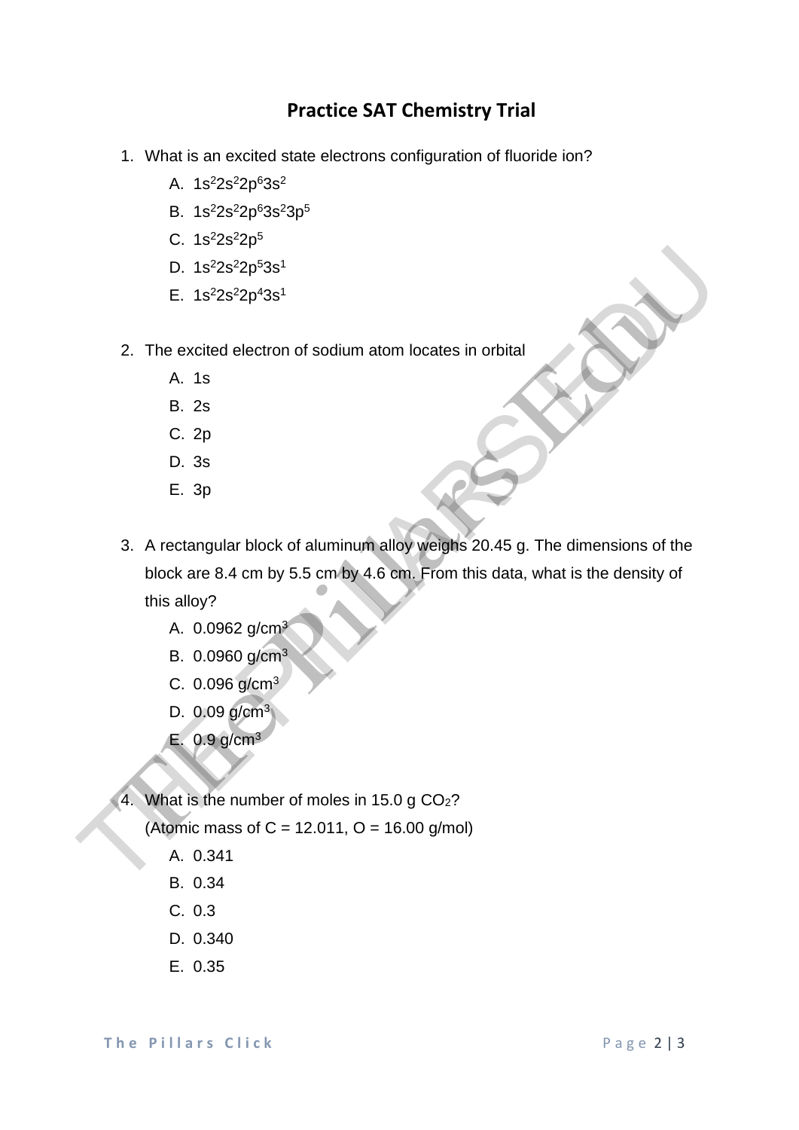## **Practice SAT Chemistry Trial**

- 1. What is an excited state electrons configuration of fluoride ion?
	- A.  $1s^22s^22p^63s^2$
	- B. 1s<sup>2</sup>2s<sup>2</sup>2p<sup>6</sup>3s<sup>2</sup>3p<sup>5</sup>
	- C.  $1s^22s^22p^5$
	- D.  $1s^22s^22p^53s^1$
	- E.  $1s^22s^22p^43s^1$
- 2. The excited electron of sodium atom locates in orbital
	- A. 1s
	- B. 2s
	- C. 2p
	- D. 3s
	- E. 3p
- 3. A rectangular block of aluminum alloy weighs 20.45 g. The dimensions of the block are 8.4 cm by 5.5 cm by 4.6 cm. From this data, what is the density of this alloy? D. 1s<sup>2</sup>2s<sup>2</sup>2p<sup>4</sup>3s<sup>1</sup><br>
E. 1s<sup>2</sup>2s<sup>2</sup>2p<sup>4</sup>3s<sup>1</sup><br>
2. The excited electron of sodium atom locates in orbital<br>
A. 1s 2s<br>
C. 2p<br>
D. 3s<br>
E. 3p<br>
3. A rectangular block of aluminum alloy weights 20.45 g. The dimensions of the<br>
	- A. 0.0962 g/cm<sup>3</sup>
	- B. 0.0960 g/cm<sup>3</sup>
	- C. 0.096 g/cm<sup>3</sup>
	- D. 0.09 g/cm<sup>3</sup>
	- E. 0.9 g/cm<sup>3</sup>

4. What is the number of moles in 15.0 g CO2?

(Atomic mass of C = 12.011, O = 16.00 g/mol)

- A. 0.341
- B. 0.34
- C. 0.3
- D. 0.340
- E. 0.35